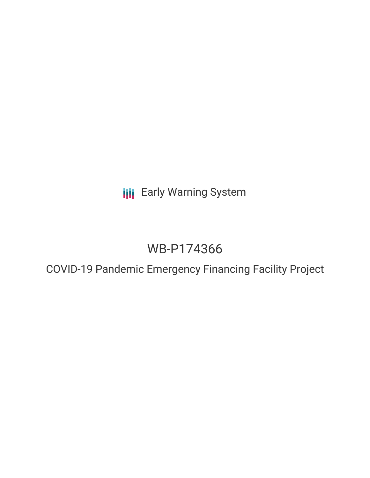**III** Early Warning System

# WB-P174366

COVID-19 Pandemic Emergency Financing Facility Project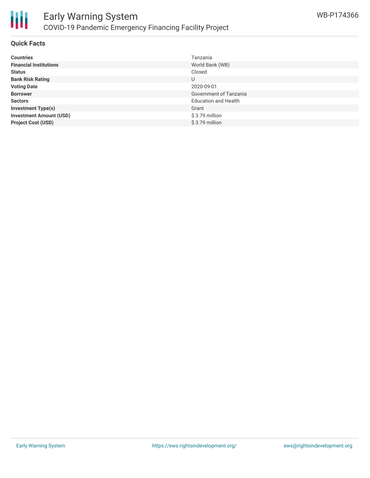

### **Quick Facts**

| <b>Countries</b>               | Tanzania                    |
|--------------------------------|-----------------------------|
| <b>Financial Institutions</b>  | World Bank (WB)             |
| <b>Status</b>                  | Closed                      |
| <b>Bank Risk Rating</b>        | U                           |
| <b>Voting Date</b>             | 2020-09-01                  |
| <b>Borrower</b>                | Government of Tanzania      |
| <b>Sectors</b>                 | <b>Education and Health</b> |
| <b>Investment Type(s)</b>      | Grant                       |
| <b>Investment Amount (USD)</b> | \$3.79 million              |
| <b>Project Cost (USD)</b>      | $$3.79$ million             |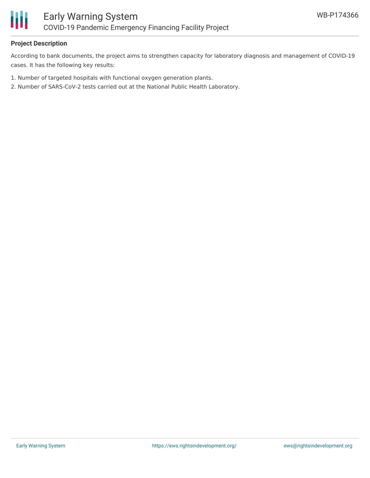

# **Project Description**

According to bank documents, the project aims to strengthen capacity for laboratory diagnosis and management of COVID-19 cases. It has the following key results:

- 1. Number of targeted hospitals with functional oxygen generation plants.
- 2. Number of SARS-CoV-2 tests carried out at the National Public Health Laboratory.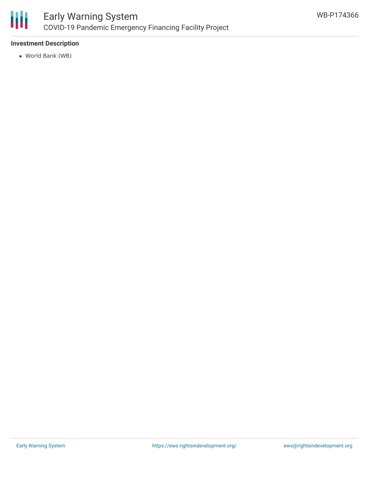

# **Investment Description**

World Bank (WB)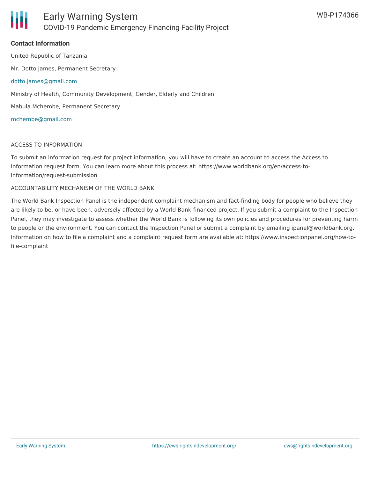## **Contact Information**

United Republic of Tanzania

Mr. Dotto James, Permanent Secretary

#### [dotto.james@gmail.com](mailto:dotto.james@gmail.com)

Ministry of Health, Community Development, Gender, Elderly and Children

Mabula Mchembe, Permanent Secretary

#### [mchembe@gmail.com](mailto:mchembe@gmail.com)

#### ACCESS TO INFORMATION

To submit an information request for project information, you will have to create an account to access the Access to Information request form. You can learn more about this process at: https://www.worldbank.org/en/access-toinformation/request-submission

#### ACCOUNTABILITY MECHANISM OF THE WORLD BANK

The World Bank Inspection Panel is the independent complaint mechanism and fact-finding body for people who believe they are likely to be, or have been, adversely affected by a World Bank-financed project. If you submit a complaint to the Inspection Panel, they may investigate to assess whether the World Bank is following its own policies and procedures for preventing harm to people or the environment. You can contact the Inspection Panel or submit a complaint by emailing ipanel@worldbank.org. Information on how to file a complaint and a complaint request form are available at: https://www.inspectionpanel.org/how-tofile-complaint